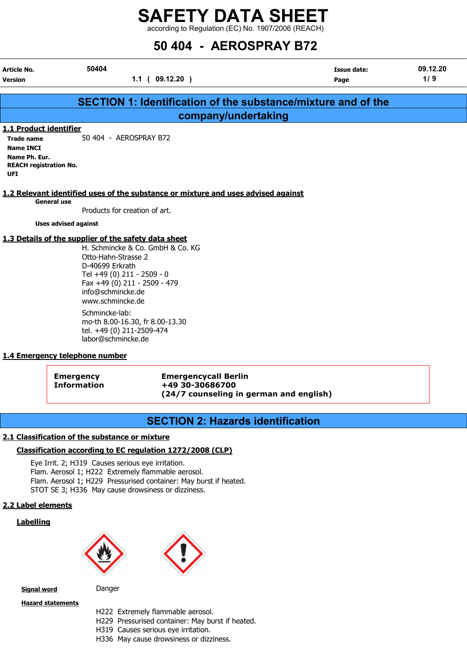according to Regulation (EC) No. 1907/2006 (REACH)

## 50 404 - AEROSPRAY B72

| Article No.                   | 50404                                                                             | <b>Issue date:</b> | 09.12.20 |
|-------------------------------|-----------------------------------------------------------------------------------|--------------------|----------|
| Version                       | 1.1(09.12.20)                                                                     | Page               | 1/9      |
|                               |                                                                                   |                    |          |
|                               | <b>SECTION 1: Identification of the substance/mixture and of the</b>              |                    |          |
|                               | company/undertaking                                                               |                    |          |
| 1.1 Product identifier        |                                                                                   |                    |          |
| <b>Trade name</b>             | 50 404 - AEROSPRAY B72                                                            |                    |          |
| <b>Name INCI</b>              |                                                                                   |                    |          |
| Name Ph. Eur.                 |                                                                                   |                    |          |
| <b>REACH registration No.</b> |                                                                                   |                    |          |
| <b>UFI</b>                    |                                                                                   |                    |          |
|                               |                                                                                   |                    |          |
|                               | 1.2 Relevant identified uses of the substance or mixture and uses advised against |                    |          |
| <b>General use</b>            |                                                                                   |                    |          |
|                               | Products for creation of art.                                                     |                    |          |
|                               | <b>Uses advised against</b>                                                       |                    |          |
|                               | 1.3 Details of the supplier of the safety data sheet                              |                    |          |
|                               | H. Schmincke & Co. GmbH & Co. KG                                                  |                    |          |
|                               | Otto-Hahn-Strasse 2                                                               |                    |          |
|                               |                                                                                   |                    |          |
|                               | D-40699 Erkrath                                                                   |                    |          |
|                               | Tel +49 (0) 211 - 2509 - 0                                                        |                    |          |
|                               | Fax +49 (0) 211 - 2509 - 479                                                      |                    |          |
|                               | info@schmincke.de                                                                 |                    |          |

www.schmincke.de Schmincke-lab: mo-th 8.00-16.30, fr 8.00-13.30 tel. +49 (0) 211-2509-474 labor@schmincke.de

#### 1.4 Emergency telephone number

Emergency Emergencycall Berlin Information +49 30-30686700 (24/7 counseling in german and english)

#### SECTION 2: Hazards identification

#### 2.1 Classification of the substance or mixture

#### Classification according to EC regulation 1272/2008 (CLP)

Eye Irrit. 2; H319 Causes serious eye irritation. Flam. Aerosol 1; H222 Extremely flammable aerosol. Flam. Aerosol 1; H229 Pressurised container: May burst if heated. STOT SE 3; H336 May cause drowsiness or dizziness.

#### 2.2 Label elements

#### **Labelling**





**Signal word** Danger

Hazard statements

H222 Extremely flammable aerosol.

H229 Pressurised container: May burst if heated.

H319 Causes serious eye irritation.

H336 May cause drowsiness or dizziness.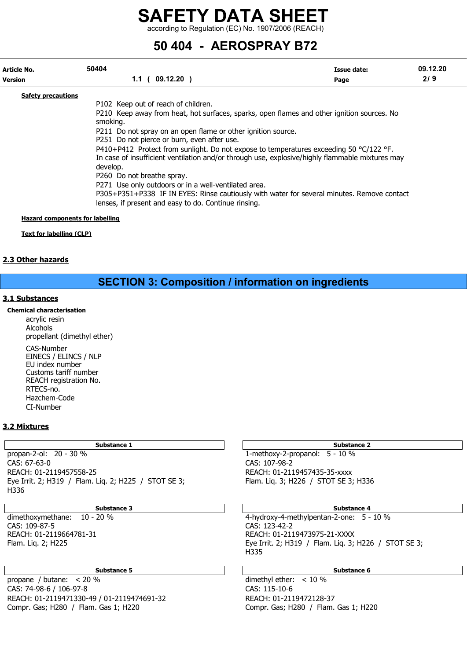according to Regulation (EC) No. 1907/2006 (REACH)

### 50 404 - AEROSPRAY B72

| Article No.               | 50404                                                                                                                                                                                                                                                   | Issue date: | 09.12.20 |
|---------------------------|---------------------------------------------------------------------------------------------------------------------------------------------------------------------------------------------------------------------------------------------------------|-------------|----------|
| <b>Version</b>            | 1.1(09.12.20)                                                                                                                                                                                                                                           | Page        | 2/9      |
| <b>Safety precautions</b> |                                                                                                                                                                                                                                                         |             |          |
|                           | P102 Keep out of reach of children.                                                                                                                                                                                                                     |             |          |
|                           | P210 Keep away from heat, hot surfaces, sparks, open flames and other ignition sources. No<br>smoking.                                                                                                                                                  |             |          |
|                           | P211 Do not spray on an open flame or other ignition source.                                                                                                                                                                                            |             |          |
|                           | P251 Do not pierce or burn, even after use.                                                                                                                                                                                                             |             |          |
|                           | P410+P412 Protect from sunlight. Do not expose to temperatures exceeding 50 $^{\circ}$ C/122 $^{\circ}$ F.<br>In case of insufficient ventilation and/or through use, explosive/highly flammable mixtures may<br>develop.<br>P260 Do not breathe spray. |             |          |
|                           | P271 Use only outdoors or in a well-ventilated area.                                                                                                                                                                                                    |             |          |
|                           | P305+P351+P338 IF IN EYES: Rinse cautiously with water for several minutes. Remove contact<br>lenses, if present and easy to do. Continue rinsing.                                                                                                      |             |          |

#### Hazard components for labelling

Text for labelling (CLP)

#### 2.3 Other hazards

### SECTION 3: Composition / information on ingredients

#### 3.1 Substances

#### Chemical characterisation

acrylic resin Alcohols propellant (dimethyl ether) CAS-Number EINECS / ELINCS / NLP EU index number Customs tariff number REACH registration No. RTECS-no. Hazchem-Code CI-Number

#### 3.2 Mixtures

propan-2-ol: 20 - 30 % 1-methoxy-2-propanol: 5 - 10 % CAS: 67-63-0 CAS: 107-98-2 REACH: 01-2119457558-25 REACH: 01-2119457435-35-xxxx Eye Irrit. 2; H319 / Flam. Liq. 2; H225 / STOT SE 3; Flam. Liq. 3; H226 / STOT SE 3; H336 H336

CAS: 109-87-5 CAS: 123-42-2

#### Substance 5 Substance 6 Substance 6 Substance 6 Substance 6 Substance 6 Substance 6 Substance 6 Substance 6 Su

propane / butane: < 20 % dimethyl ether: < 10 % CAS: 74-98-6 / 106-97-8 CAS: 115-10-6 REACH: 01-2119471330-49 / 01-2119474691-32 REACH: 01-2119472128-37 Compr. Gas; H280 / Flam. Gas 1; H220 Compr. Gas; H280 / Flam. Gas 1; H220

#### Substance 1 Substance 2

#### Substance 3 Substance 4

dimethoxymethane: 10 - 20 % 4-hydroxy-4-methylpentan-2-one: 5 - 10 % REACH: 01-2119664781-31 REACH: 01-2119473975-21-XXXX Flam. Liq. 2; H225 Eye Irrit. 2; H319 / Flam. Liq. 3; H226 / STOT SE 3; H335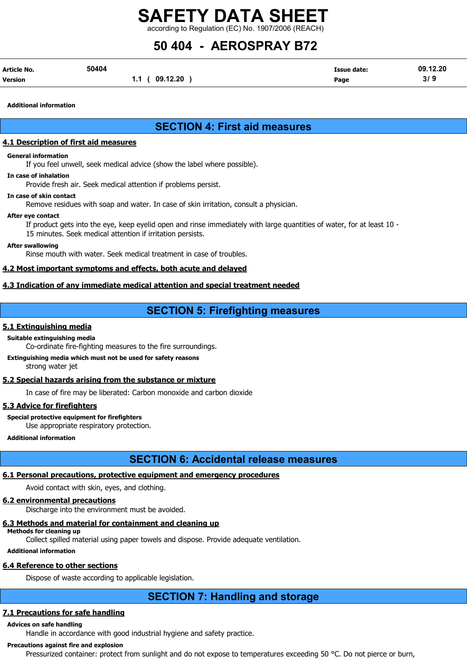according to Regulation (EC) No. 1907/2006 (REACH)

# 50 404 - AEROSPRAY B72

| Article No. | 50404 |               | <b>Issue date:</b> | 09.12.20 |
|-------------|-------|---------------|--------------------|----------|
| Version     |       | 1.1(09.12.20) | Page               | 3/9      |

Additional information

### SECTION 4: First aid measures

#### 4.1 Description of first aid measures

#### General information

If you feel unwell, seek medical advice (show the label where possible).

#### In case of inhalation

Provide fresh air. Seek medical attention if problems persist.

#### In case of skin contact

Remove residues with soap and water. In case of skin irritation, consult a physician.

#### After eye contact

If product gets into the eye, keep eyelid open and rinse immediately with large quantities of water, for at least 10 - 15 minutes. Seek medical attention if irritation persists.

#### After swallowing

Rinse mouth with water. Seek medical treatment in case of troubles.

#### 4.2 Most important symptoms and effects, both acute and delayed

#### 4.3 Indication of any immediate medical attention and special treatment needed

#### SECTION 5: Firefighting measures

#### 5.1 Extinguishing media

#### Suitable extinguishing media

Co-ordinate fire-fighting measures to the fire surroundings.

#### Extinguishing media which must not be used for safety reasons strong water jet

#### 5.2 Special hazards arising from the substance or mixture

In case of fire may be liberated: Carbon monoxide and carbon dioxide

#### 5.3 Advice for firefighters

#### Special protective equipment for firefighters

Use appropriate respiratory protection.

Additional information

#### SECTION 6: Accidental release measures

#### 6.1 Personal precautions, protective equipment and emergency procedures

Avoid contact with skin, eyes, and clothing.

#### 6.2 environmental precautions

Discharge into the environment must be avoided.

#### 6.3 Methods and material for containment and cleaning up

Methods for cleaning up Collect spilled material using paper towels and dispose. Provide adequate ventilation.

#### Additional information

#### 6.4 Reference to other sections

Dispose of waste according to applicable legislation.

### SECTION 7: Handling and storage

#### 7.1 Precautions for safe handling

#### Advices on safe handling

Handle in accordance with good industrial hygiene and safety practice.

#### Precautions against fire and explosion

Pressurized container: protect from sunlight and do not expose to temperatures exceeding 50 °C. Do not pierce or burn,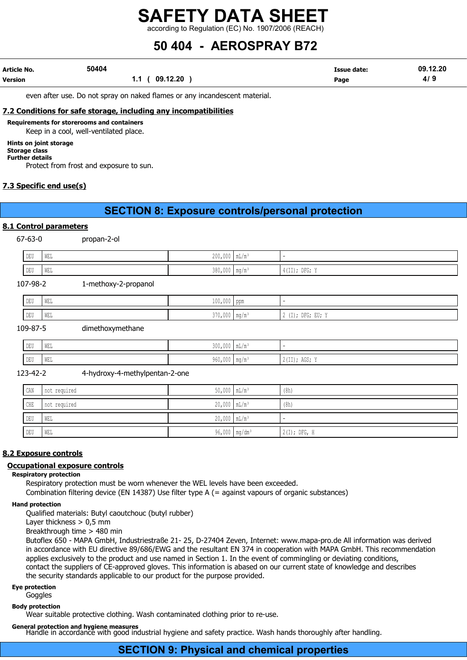according to Regulation (EC) No. 1907/2006 (REACH)

# 50 404 - AEROSPRAY B72

| Article No.    | 50404 |                              | <b>Issue date:</b> | 09.12.20 |
|----------------|-------|------------------------------|--------------------|----------|
| <b>Version</b> |       | 09.12.20<br>1.1 <sub>0</sub> | Page               | 4/9      |

even after use. Do not spray on naked flames or any incandescent material.

#### 7.2 Conditions for safe storage, including any incompatibilities

Requirements for storerooms and containers

Keep in a cool, well-ventilated place.

#### Hints on joint storage

#### Storage class Further details

Protect from frost and exposure to sun.

#### 7.3 Specific end use(s)

#### SECTION 8: Exposure controls/personal protection

#### 8.1 Control parameters

67-63-0 propan-2-ol

| ×<br>× |  |
|--------|--|
|        |  |
|        |  |
|        |  |
|        |  |
|        |  |

| DEU        | WEL        |                      | $200,000$ mL/m <sup>3</sup> | $\overline{\phantom{a}}$ |  |
|------------|------------|----------------------|-----------------------------|--------------------------|--|
| <b>DEU</b> | <b>WEL</b> |                      | $380,000$ mq/m <sup>3</sup> | $4(II);$ DFG; Y          |  |
| 107-98-2   |            | 1-methoxy-2-propanol |                             |                          |  |

| DEU | WEL | $\sim$ $\sim$ $\sim$<br>$\wedge$<br>TAA LAAA TAHII |                                                                                                    |
|-----|-----|----------------------------------------------------|----------------------------------------------------------------------------------------------------|
| DEU | WEL | $370,000$ mg/m <sup>3</sup>                        | $1 + 1$<br>$- - -$<br>D <sub>D</sub><br>$\sim$ $\sim$<br>، ب نا<br>ו טבע<br>$1 + 11$<br><u>، ب</u> |

#### 109-87-5 dimethoxymethane

| DEU | the property of the contract of the<br>WEL | 200<br>$\sim$ $\sim$ $\sim$         |                                                        |
|-----|--------------------------------------------|-------------------------------------|--------------------------------------------------------|
| DEU | WEL                                        | $\sim$ $\sim$ $\sim$<br><b>JVV1</b> | $\sim$ $\sim$ $\sim$<br>, כטב <i>ו</i><br>. <i>. .</i> |

123-42-2 4-hydroxy-4-methylpentan-2-one

| CAN | not required | $50,000$ $mL/m^3$           | (8h)           |
|-----|--------------|-----------------------------|----------------|
| CHE | not required | $20,000$ $mL/m^3$           | (8h)           |
| DEU | WEL          | $20,000$ $mL/m^3$           |                |
| DEU | WEL          | $96,000$ mg/dm <sup>3</sup> | $2(I);$ DFG, H |

#### 8.2 Exposure controls

#### Occupational exposure controls

#### Respiratory protection

Respiratory protection must be worn whenever the WEL levels have been exceeded.

Combination filtering device (EN 14387) Use filter type A (= against vapours of organic substances)

#### Hand protection

Qualified materials: Butyl caoutchouc (butyl rubber)

Layer thickness  $> 0.5$  mm

Breakthrough time > 480 min

Butoflex 650 - MAPA GmbH, Industriestraße 21- 25, D-27404 Zeven, Internet: www.mapa-pro.de All information was derived in accordance with EU directive 89/686/EWG and the resultant EN 374 in cooperation with MAPA GmbH. This recommendation applies exclusively to the product and use named in Section 1. In the event of commingling or deviating conditions, contact the suppliers of CE-approved gloves. This information is abased on our current state of knowledge and describes the security standards applicable to our product for the purpose provided.

#### Eye protection

Goggles

#### Body protection

Wear suitable protective clothing. Wash contaminated clothing prior to re-use.

General protection and hygiene measures

Handle in accordance with good industrial hygiene and safety practice. Wash hands thoroughly after handling.

#### SECTION 9: Physical and chemical properties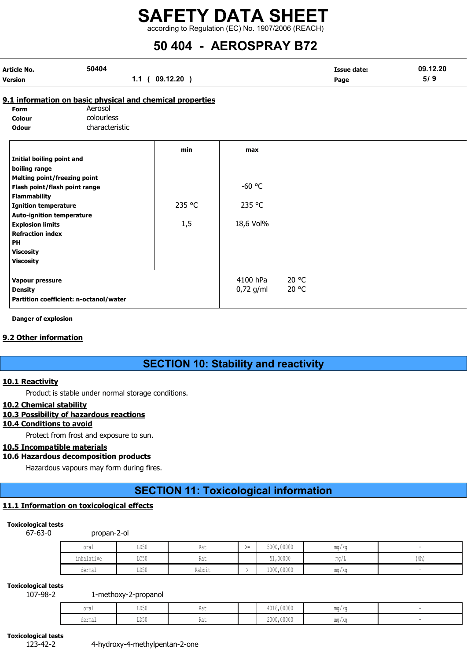according to Regulation (EC) No. 1907/2006 (REACH)

# 50 404 - AEROSPRAY B72

| Article No.    | 50404 |                 | <b>Issue date:</b> | 09.12.20 |
|----------------|-------|-----------------|--------------------|----------|
| <b>Version</b> |       | 09.12.20<br>1.1 | Page               | 5/9      |

#### 9.1 information on basic physical and chemical properties

| <b>Form</b>  | Aerosol        |
|--------------|----------------|
| Colour       | colourless     |
| <b>Odour</b> | characteristic |

|                                        | min    | max         |       |
|----------------------------------------|--------|-------------|-------|
| Initial boiling point and              |        |             |       |
| boiling range                          |        |             |       |
| Melting point/freezing point           |        |             |       |
| Flash point/flash point range          |        | $-60$ °C    |       |
| <b>Flammability</b>                    |        |             |       |
| <b>Ignition temperature</b>            | 235 °C | 235 °C      |       |
| <b>Auto-ignition temperature</b>       |        |             |       |
| <b>Explosion limits</b>                | 1,5    | 18,6 Vol%   |       |
| <b>Refraction index</b>                |        |             |       |
| <b>PH</b>                              |        |             |       |
| <b>Viscosity</b>                       |        |             |       |
| <b>Viscosity</b>                       |        |             |       |
| Vapour pressure                        |        | 4100 hPa    | 20 °C |
| <b>Density</b>                         |        | $0,72$ g/ml | 20 °C |
| Partition coefficient: n-octanol/water |        |             |       |
|                                        |        |             |       |

#### Danger of explosion

#### 9.2 Other information

#### SECTION 10: Stability and reactivity

#### 10.1 Reactivity

Product is stable under normal storage conditions.

#### 10.2 Chemical stability

#### 10.3 Possibility of hazardous reactions

#### 10.4 Conditions to avoid

Protect from frost and exposure to sun.

#### 10.5 Incompatible materials

#### 10.6 Hazardous decomposition products

Hazardous vapours may form during fires.

### SECTION 11: Toxicological information

#### 11.1 Information on toxicological effects

#### Toxicological tests

67-63-0 propan-2-ol

| oral       | T <sub>D</sub> 50<br>∪∪עע | 11 U U | ╲ —<br>>≕ | 5000,00000 | mq/kq |      |
|------------|---------------------------|--------|-----------|------------|-------|------|
| inhalative | TOE0<br>コレマカ              | 11 U U |           | 51,00000   | mq/L  | (4h) |
| dermal     | LD50                      | Rabbit |           | 1000,00000 | mg/kg |      |

#### Toxicological tests

107-98-2 1-methoxy-2-propanol

| $\sim$<br>∪⊥a⊥ | ⊔∪∪ພ | $\sim$<br>- 1 U | 101500000<br>4016,00000 | mg/kg |  |
|----------------|------|-----------------|-------------------------|-------|--|
| dermal         | ⊔∪∪ພ | `-<br>11a c     | 2000,00000              | mg/kg |  |

Toxicological tests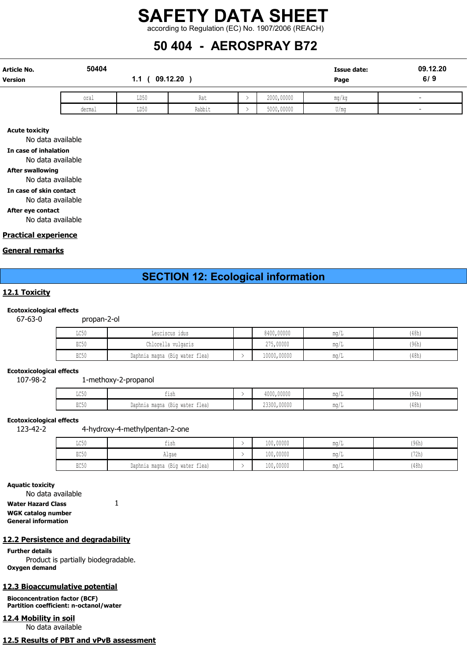### SAFETY DATA SHEET according to Regulation (EC) No. 1907/2006 (REACH)

### 50 404 - AEROSPRAY B72

| <b>Article No.</b><br>Version | 50404  | 1.1  | 09.12.20 | <b>Issue date:</b><br>Page | 09.12.20<br>6/9 |                          |
|-------------------------------|--------|------|----------|----------------------------|-----------------|--------------------------|
|                               | oral   | LD50 | Rat      | 2000,00000                 | mg/kg           | $\overline{\phantom{a}}$ |
|                               | dermal | LD50 | Rabbit   | 5000,00000                 | U/mq            | -                        |

Acute toxicity

No data available

In case of inhalation

No data available

#### After swallowing

No data available

In case of skin contact

No data available

After eye contact

No data available

#### Practical experience

#### General remarks

#### SECTION 12: Ecological information

#### 12.1 Toxicity

#### Ecotoxicological effects

67-63-0 propan-2-ol

| $T \cap E \cap$<br>せいりり | Leuciscus idus                 | 8400,00000  | mq/  | (48h) |
|-------------------------|--------------------------------|-------------|------|-------|
| EC50                    | Chlorella vulgaris             | 275,00000   | ma/  | (96h) |
| EC50                    | Daphnia magna (Big water flea) | 10000,00000 | ma/L | (48h) |

#### Ecotoxicological effects

107-98-2 1-methoxy-2-propanol

| $T \cap T \cap$<br>せいろん | TT2U                                                     | 4000,00000  | $m \sim$<br>- 111 1 | (96h) |
|-------------------------|----------------------------------------------------------|-------------|---------------------|-------|
| $P \cap E$<br>じしつい      | $-1$<br>wotor<br>water flea)<br>Daphnia magna<br>1 D T A | 23300,00000 | $m \sim$<br>TIM 1   | (48h) |

#### Ecotoxicological effects

123-42-2 4-hydroxy-4-methylpentan-2-one

| LC50 | tısh                                           | 100,00000 | $m \alpha$ ,           | (96h) |
|------|------------------------------------------------|-----------|------------------------|-------|
| EC50 | Alqae                                          | 100,00000 | $m \sim$               | (72h, |
| EC50 | water flea)<br>$\sim$<br>Daphnia magna<br>(B1q | 100,00000 | $m \sim$<br>111.U / 11 | (48h) |

Aquatic toxicity

No data available

Water Hazard Class 1

WGK catalog number General information

#### 12.2 Persistence and degradability

Further details Product is partially biodegradable. Oxygen demand

#### 12.3 Bioaccumulative potential

Bioconcentration factor (BCF) Partition coefficient: n-octanol/water

12.4 Mobility in soil No data available

12.5 Results of PBT and vPvB assessment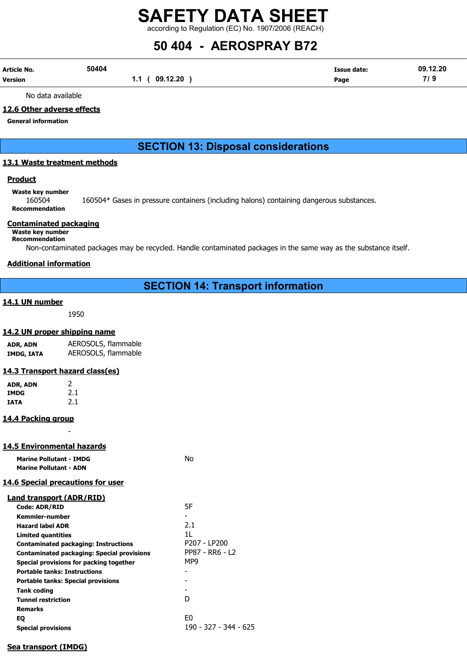according to Regulation (EC) No. 1907/2006 (REACH)

# 50 404 - AEROSPRAY B72

| Article No. | 50404 |                | <b>Issue date:</b> | 09.12.20 |
|-------------|-------|----------------|--------------------|----------|
| Version     |       | 1.1 ( 09.12.20 | Page               | 7/9      |

No data available

#### 12.6 Other adverse effects

General information

#### SECTION 13: Disposal considerations

#### 13.1 Waste treatment methods

#### **Product**

Waste key number

160504 160504\* Gases in pressure containers (including halons) containing dangerous substances. Recommendation

#### Contaminated packaging

Waste key number

Recommendation

Non-contaminated packages may be recycled. Handle contaminated packages in the same way as the substance itself.

#### Additional information

#### SECTION 14: Transport information

#### 14.1 UN number

1950

#### 14.2 UN proper shipping name

| ADR, ADN   | AEROSOLS, flammable |
|------------|---------------------|
| IMDG, IATA | AEROSOLS, flammable |

#### 14.3 Transport hazard class(es)

| ADR, ADN    | 2   |
|-------------|-----|
| <b>IMDG</b> | 2.1 |
| IATA        | 2.1 |

#### 14.4 Packing group

#### 14.5 Environmental hazards

Marine Pollutant - IMDG No Marine Pollutant - ADN

#### 14.6 Special precautions for user

-

|  | Land transport (ADR/RID) |
|--|--------------------------|
|--|--------------------------|

| <b>Code: ADR/RID</b>                              | 5F                    |
|---------------------------------------------------|-----------------------|
| Kemmler-number                                    |                       |
| <b>Hazard label ADR</b>                           | 2.1                   |
| Limited guantities                                | 11.                   |
| <b>Contaminated packaging: Instructions</b>       | P207 - LP200          |
| <b>Contaminated packaging: Special provisions</b> | PP87 - RR6 - L2       |
| Special provisions for packing together           | MP9                   |
| <b>Portable tanks: Instructions</b>               |                       |
| <b>Portable tanks: Special provisions</b>         |                       |
| <b>Tank coding</b>                                |                       |
| <b>Tunnel restriction</b>                         | D                     |
| <b>Remarks</b>                                    |                       |
| EQ                                                | E <sub>0</sub>        |
| <b>Special provisions</b>                         | 190 - 327 - 344 - 625 |

#### Sea transport (IMDG)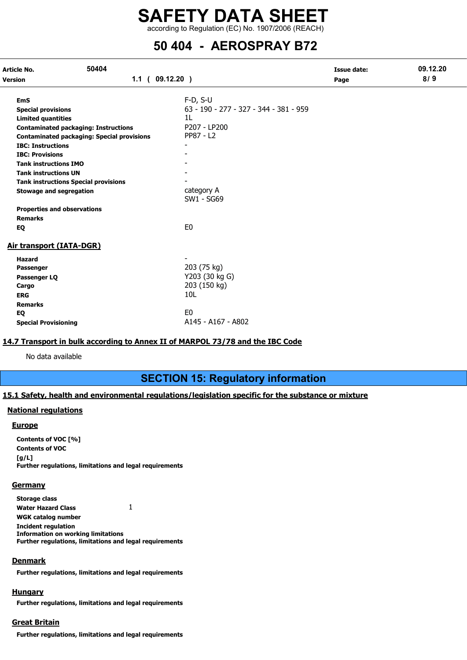according to Regulation (EC) No. 1907/2006 (REACH)

### 50 404 - AEROSPRAY B72

| 50404<br>Article No.                                        |                                                                                                  |                                              | <b>Issue date:</b> | 09.12.20 |
|-------------------------------------------------------------|--------------------------------------------------------------------------------------------------|----------------------------------------------|--------------------|----------|
| Version                                                     | 1.1(09.12.20)                                                                                    |                                              | Page               | 8/9      |
| <b>EmS</b>                                                  |                                                                                                  | $F-D, S-U$                                   |                    |          |
| <b>Special provisions</b><br><b>Limited quantities</b>      |                                                                                                  | 63 - 190 - 277 - 327 - 344 - 381 - 959<br>1L |                    |          |
|                                                             | <b>Contaminated packaging: Instructions</b><br><b>Contaminated packaging: Special provisions</b> | P207 - LP200<br>PP87 - L2                    |                    |          |
| <b>IBC: Instructions</b><br><b>IBC: Provisions</b>          |                                                                                                  |                                              |                    |          |
| <b>Tank instructions IMO</b><br><b>Tank instructions UN</b> |                                                                                                  |                                              |                    |          |
| <b>Stowage and segregation</b>                              | <b>Tank instructions Special provisions</b>                                                      | category A                                   |                    |          |
|                                                             |                                                                                                  | SW1 - SG69                                   |                    |          |
| <b>Properties and observations</b><br><b>Remarks</b>        |                                                                                                  |                                              |                    |          |
| EQ                                                          |                                                                                                  | E <sub>0</sub>                               |                    |          |
| Air transport (IATA-DGR)                                    |                                                                                                  |                                              |                    |          |
| <b>Hazard</b><br>Passenger                                  |                                                                                                  | 203 (75 kg)                                  |                    |          |
| Passenger LQ                                                |                                                                                                  | Y203 (30 kg G)<br>203 (150 kg)               |                    |          |
| Cargo<br><b>ERG</b>                                         |                                                                                                  | 10 <sub>L</sub>                              |                    |          |
| <b>Remarks</b><br>EQ                                        |                                                                                                  | E <sub>0</sub>                               |                    |          |
| <b>Special Provisioning</b>                                 |                                                                                                  | A145 - A167 - A802                           |                    |          |

#### 14.7 Transport in bulk according to Annex II of MARPOL 73/78 and the IBC Code

No data available

### SECTION 15: Regulatory information

#### 15.1 Safety, health and environmental regulations/legislation specific for the substance or mixture

#### National regulations

#### **Europe**

Contents of VOC [%] Contents of VOC  $[g/L]$ Further regulations, limitations and legal requirements

#### **Germany**

Storage class

Water Hazard Class 1

WGK catalog number Incident regulation Information on working limitations

Further regulations, limitations and legal requirements

#### **Denmark**

Further regulations, limitations and legal requirements

#### **Hungary**

Further regulations, limitations and legal requirements

#### Great Britain

Further regulations, limitations and legal requirements